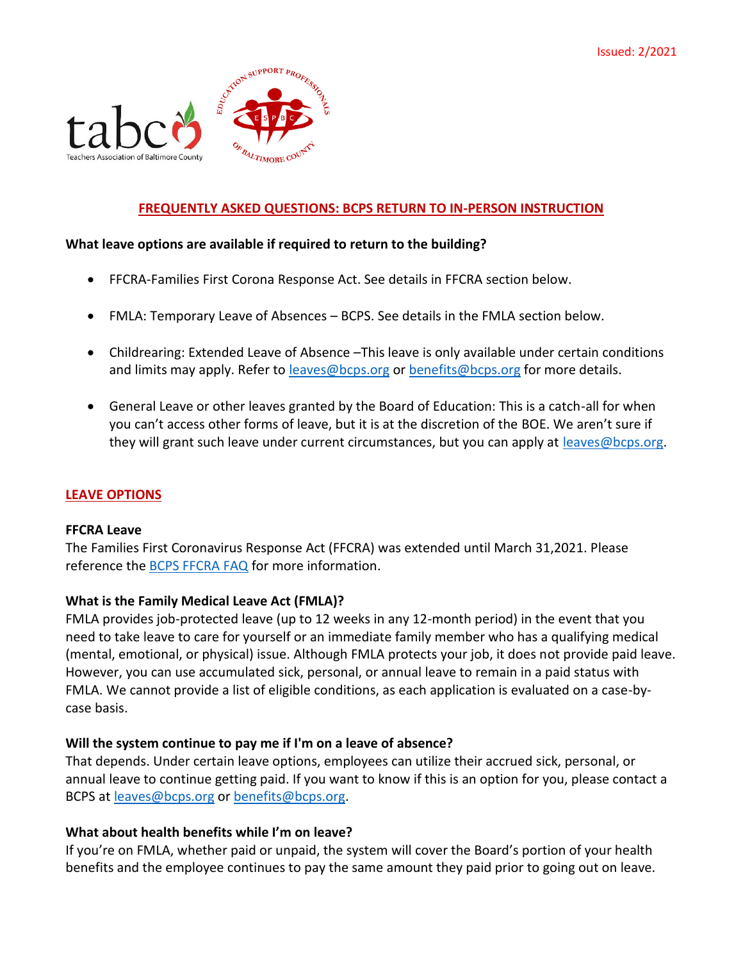

## **FREQUENTLY ASKED QUESTIONS: BCPS RETURN TO IN-PERSON INSTRUCTION**

#### **What leave options are available if required to return to the building?**

- FFCRA-Families First Corona Response Act. See details in FFCRA section below.
- FMLA: Temporary Leave of Absences BCPS. See details in the FMLA section below.
- Childrearing: Extended Leave of Absence –This leave is only available under certain conditions and limits may apply. Refer to [leaves@bcps.org](mailto:leaves@bcps.org) or [benefits@bcps.org](mailto:benefits@bcps.org) for more details.
- General Leave or other leaves granted by the Board of Education: This is a catch-all for when you can't access other forms of leave, but it is at the discretion of the BOE. We aren't sure if they will grant such leave under current circumstances, but you can apply at [leaves@bcps.org.](mailto:leaves@bcps.org)

## **LEAVE OPTIONS**

#### **FFCRA Leave**

The Families First Coronavirus Response Act (FFCRA) was extended until March 31,2021. Please reference the [BCPS FFCRA FAQ](https://hr.bcps.org/UserFiles/Servers/Server_9048896/File/FFCRA%20Leave%20FAQs%201-2-2021.pdf) for more information.

## **What is the Family Medical Leave Act (FMLA)?**

FMLA provides job-protected leave (up to 12 weeks in any 12-month period) in the event that you need to take leave to care for yourself or an immediate family member who has a qualifying medical (mental, emotional, or physical) issue. Although FMLA protects your job, it does not provide paid leave. However, you can use accumulated sick, personal, or annual leave to remain in a paid status with FMLA. We cannot provide a list of eligible conditions, as each application is evaluated on a case-bycase basis.

## **Will the system continue to pay me if I'm on a leave of absence?**

That depends. Under certain leave options, employees can utilize their accrued sick, personal, or annual leave to continue getting paid. If you want to know if this is an option for you, please contact a BCPS at [leaves@bcps.org](mailto:leaves@bcps.org) or [benefits@bcps.org.](mailto:benefits@bcps.org)

#### **What about health benefits while I'm on leave?**

If you're on FMLA, whether paid or unpaid, the system will cover the Board's portion of your health benefits and the employee continues to pay the same amount they paid prior to going out on leave.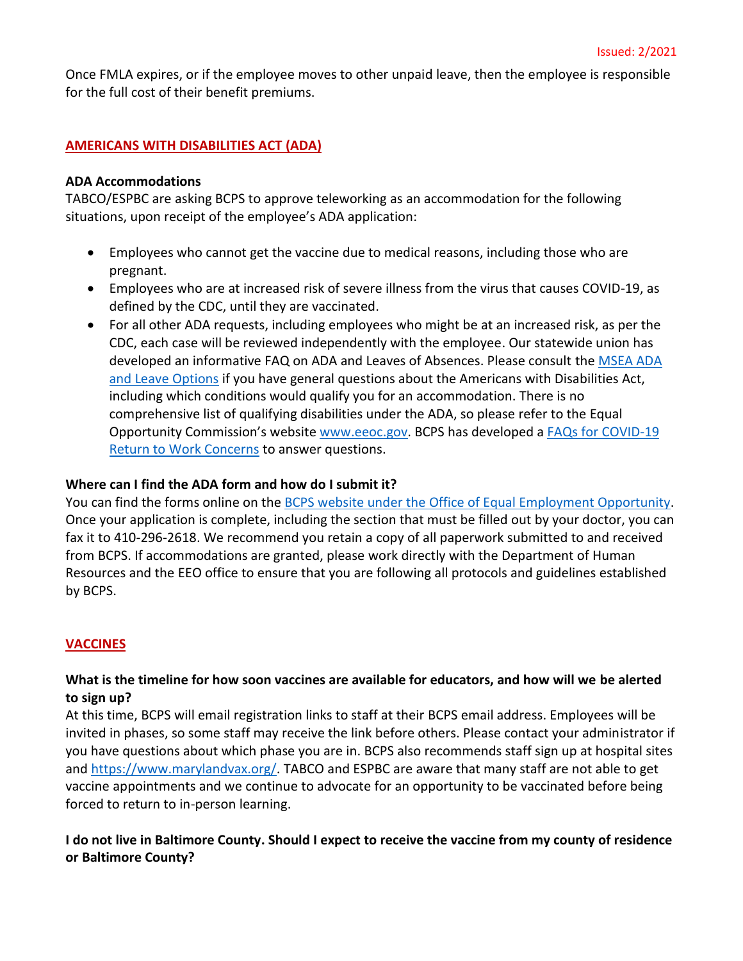Once FMLA expires, or if the employee moves to other unpaid leave, then the employee is responsible for the full cost of their benefit premiums.

# **AMERICANS WITH DISABILITIES ACT (ADA)**

#### **ADA Accommodations**

TABCO/ESPBC are asking BCPS to approve teleworking as an accommodation for the following situations, upon receipt of the employee's ADA application:

- Employees who cannot get the vaccine due to medical reasons, including those who are pregnant.
- Employees who are at increased risk of severe illness from the virus that causes COVID-19, as defined by the CDC, until they are vaccinated.
- For all other ADA requests, including employees who might be at an increased risk, as per the CDC, each case will be reviewed independently with the employee. Our statewide union has developed an informative FAQ on ADA and Leaves of Absences. Please consult the [MSEA ADA](https://marylandeducators.org/faq/ada-and-leave/)  [and Leave Options](https://marylandeducators.org/faq/ada-and-leave/) if you have general questions about the Americans with Disabilities Act, including which conditions would qualify you for an accommodation. There is no comprehensive list of qualifying disabilities under the ADA, so please refer to the Equal Opportunity Commission's website [www.eeoc.gov.](http://www.eeoc.gov/) BCPS has developed a **FAQs** for COVID-19 [Return to Work Concerns](https://hr.bcps.org/common/pages/DisplayFile.aspx?itemId=66773663) to answer questions.

#### **Where can I find the ADA form and how do I submit it?**

You can find the forms online on the [BCPS website under the Office of Equal Employment Opportunity.](https://hr.bcps.org/cms/One.aspx?portalId=9048980&pageId=9118142) Once your application is complete, including the section that must be filled out by your doctor, you can fax it to 410-296-2618. We recommend you retain a copy of all paperwork submitted to and received from BCPS. If accommodations are granted, please work directly with the Department of Human Resources and the EEO office to ensure that you are following all protocols and guidelines established by BCPS.

## **VACCINES**

## **What is the timeline for how soon vaccines are available for educators, and how will we be alerted to sign up?**

At this time, BCPS will email registration links to staff at their BCPS email address. Employees will be invited in phases, so some staff may receive the link before others. Please contact your administrator if you have questions about which phase you are in. BCPS also recommends staff sign up at hospital sites and [https://www.marylandvax.org/.](https://www.marylandvax.org/) TABCO and ESPBC are aware that many staff are not able to get vaccine appointments and we continue to advocate for an opportunity to be vaccinated before being forced to return to in-person learning.

## **I do not live in Baltimore County. Should I expect to receive the vaccine from my county of residence or Baltimore County?**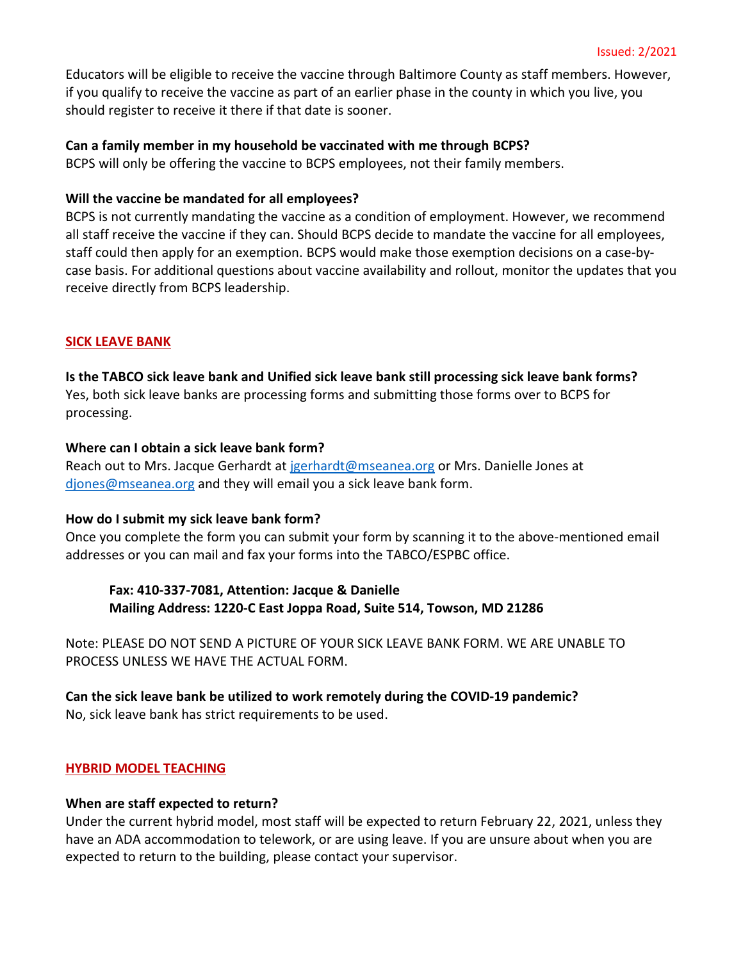Educators will be eligible to receive the vaccine through Baltimore County as staff members. However, if you qualify to receive the vaccine as part of an earlier phase in the county in which you live, you should register to receive it there if that date is sooner.

## **Can a family member in my household be vaccinated with me through BCPS?**

BCPS will only be offering the vaccine to BCPS employees, not their family members.

#### **Will the vaccine be mandated for all employees?**

BCPS is not currently mandating the vaccine as a condition of employment. However, we recommend all staff receive the vaccine if they can. Should BCPS decide to mandate the vaccine for all employees, staff could then apply for an exemption. BCPS would make those exemption decisions on a case-bycase basis. For additional questions about vaccine availability and rollout, monitor the updates that you receive directly from BCPS leadership.

#### **SICK LEAVE BANK**

#### **Is the TABCO sick leave bank and Unified sick leave bank still processing sick leave bank forms?**

Yes, both sick leave banks are processing forms and submitting those forms over to BCPS for processing.

## **Where can I obtain a sick leave bank form?**

Reach out to Mrs. Jacque Gerhardt at [jgerhardt@mseanea.org](mailto:jgerhardt@mseanea.org) or Mrs. Danielle Jones at [djones@mseanea.org](mailto:djones@mseanea.org) and they will email you a sick leave bank form.

#### **How do I submit my sick leave bank form?**

Once you complete the form you can submit your form by scanning it to the above-mentioned email addresses or you can mail and fax your forms into the TABCO/ESPBC office.

**Fax: 410-337-7081, Attention: Jacque & Danielle Mailing Address: 1220-C East Joppa Road, Suite 514, Towson, MD 21286**

Note: PLEASE DO NOT SEND A PICTURE OF YOUR SICK LEAVE BANK FORM. WE ARE UNABLE TO PROCESS UNLESS WE HAVE THE ACTUAL FORM.

**Can the sick leave bank be utilized to work remotely during the COVID-19 pandemic?** No, sick leave bank has strict requirements to be used.

#### **HYBRID MODEL TEACHING**

# **When are staff expected to return?**

Under the current hybrid model, most staff will be expected to return February 22, 2021, unless they have an ADA accommodation to telework, or are using leave. If you are unsure about when you are expected to return to the building, please contact your supervisor.